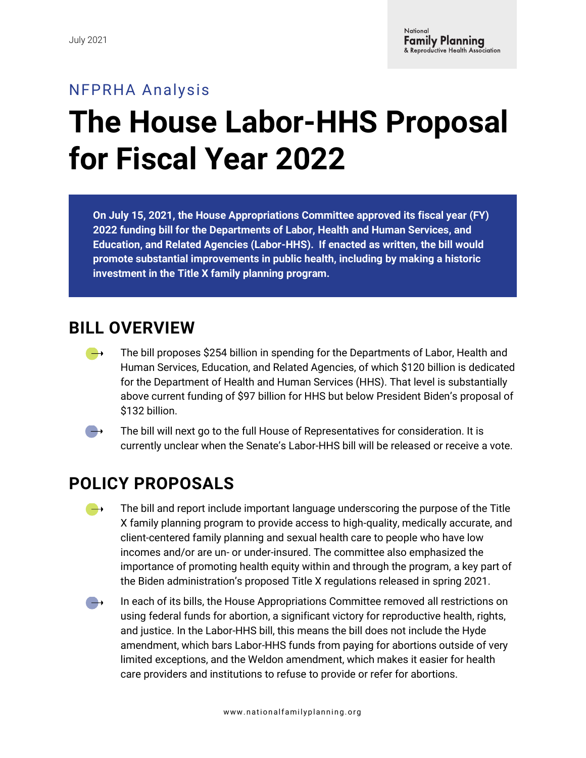## NFPRHA Analysis **The House Labor-HHS Proposal for Fiscal Year 2022**

**On July 15, 2021, the House Appropriations Committee approved its fiscal year (FY) 2022 funding bill for the Departments of Labor, Health and Human Services, and Education, and Related Agencies (Labor-HHS). If enacted as written, the bill would promote substantial improvements in public health, including by making a historic investment in the Title X family planning program.** 

## **BILL OVERVIEW**

The bill proposes \$254 billion in spending for the Departments of Labor, Health and  $\rightarrow$ Human Services, Education, and Related Agencies, of which \$120 billion is dedicated for the Department of Health and Human Services (HHS). That level is substantially above current funding of \$97 billion for HHS but below President Biden's proposal of \$132 billion.



The bill will next go to the full House of Representatives for consideration. It is currently unclear when the Senate's Labor-HHS bill will be released or receive a vote.

## **POLICY PROPOSALS**

- The bill and report include important language underscoring the purpose of the Title  $\rightarrow$ X family planning program to provide access to high-quality, medically accurate, and client-centered family planning and sexual health care to people who have low incomes and/or are un- or under-insured. The committee also emphasized the importance of promoting health equity within and through the program, a key part of the Biden administration's proposed Title X regulations released in spring 2021.
- $\qquad \qquad \bullet$ In each of its bills, the House Appropriations Committee removed all restrictions on using federal funds for abortion, a significant victory for reproductive health, rights, and justice. In the Labor-HHS bill, this means the bill does not include the Hyde amendment, which bars Labor-HHS funds from paying for abortions outside of very limited exceptions, and the Weldon amendment, which makes it easier for health care providers and institutions to refuse to provide or refer for abortions.